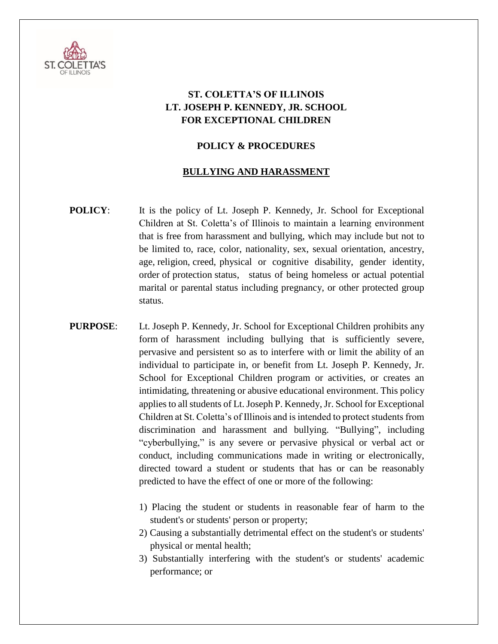

## **ST. COLETTA'S OF ILLINOIS LT. JOSEPH P. KENNEDY, JR. SCHOOL FOR EXCEPTIONAL CHILDREN**

## **POLICY & PROCEDURES**

## **BULLYING AND HARASSMENT**

- **POLICY:** It is the policy of Lt. Joseph P. Kennedy, Jr. School for Exceptional Children at St. Coletta's of Illinois to maintain a learning environment that is free from harassment and bullying, which may include but not to be limited to, race, color, nationality, sex, sexual orientation, ancestry, age, religion, creed, physical or cognitive disability, gender identity, order of protection status, status of being homeless or actual potential marital or parental status including pregnancy, or other protected group status.
- **PURPOSE**: Lt. Joseph P. Kennedy, Jr. School for Exceptional Children prohibits any form of harassment including bullying that is sufficiently severe, pervasive and persistent so as to interfere with or limit the ability of an individual to participate in, or benefit from Lt. Joseph P. Kennedy, Jr. School for Exceptional Children program or activities, or creates an intimidating, threatening or abusive educational environment. This policy applies to all students of Lt. Joseph P. Kennedy, Jr. School for Exceptional Children at St. Coletta's of Illinois and is intended to protect students from discrimination and harassment and bullying. "Bullying", including "cyberbullying," is any severe or pervasive physical or verbal act or conduct, including communications made in writing or electronically, directed toward a student or students that has or can be reasonably predicted to have the effect of one or more of the following:
	- 1) Placing the student or students in reasonable fear of harm to the student's or students' person or property;
	- 2) Causing a substantially detrimental effect on the student's or students' physical or mental health;
	- 3) Substantially interfering with the student's or students' academic performance; or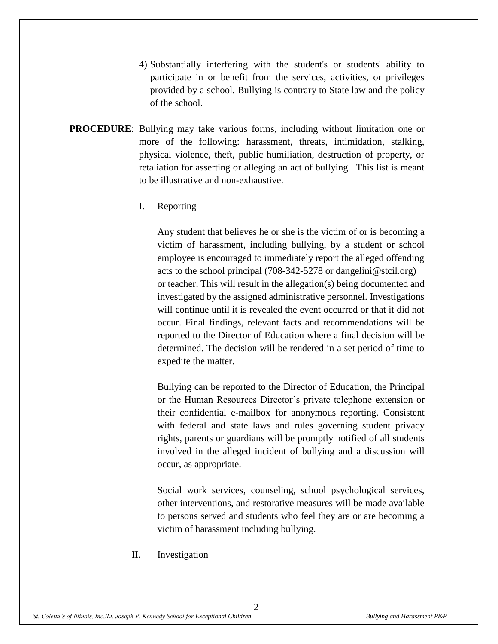- 4) Substantially interfering with the student's or students' ability to participate in or benefit from the services, activities, or privileges provided by a school. Bullying is contrary to State law and the policy of the school.
- **PROCEDURE**: Bullying may take various forms, including without limitation one or more of the following: harassment, threats, intimidation, stalking, physical violence, theft, public humiliation, destruction of property, or retaliation for asserting or alleging an act of bullying. This list is meant to be illustrative and non-exhaustive.
	- I. Reporting

Any student that believes he or she is the victim of or is becoming a victim of harassment, including bullying, by a student or school employee is encouraged to immediately report the alleged offending acts to the school principal (708-342-5278 or dangelini@stcil.org) or teacher. This will result in the allegation(s) being documented and investigated by the assigned administrative personnel. Investigations will continue until it is revealed the event occurred or that it did not occur. Final findings, relevant facts and recommendations will be reported to the Director of Education where a final decision will be determined. The decision will be rendered in a set period of time to expedite the matter.

Bullying can be reported to the Director of Education, the Principal or the Human Resources Director's private telephone extension or their confidential e-mailbox for anonymous reporting. Consistent with federal and state laws and rules governing student privacy rights, parents or guardians will be promptly notified of all students involved in the alleged incident of bullying and a discussion will occur, as appropriate.

Social work services, counseling, school psychological services, other interventions, and restorative measures will be made available to persons served and students who feel they are or are becoming a victim of harassment including bullying.

II. Investigation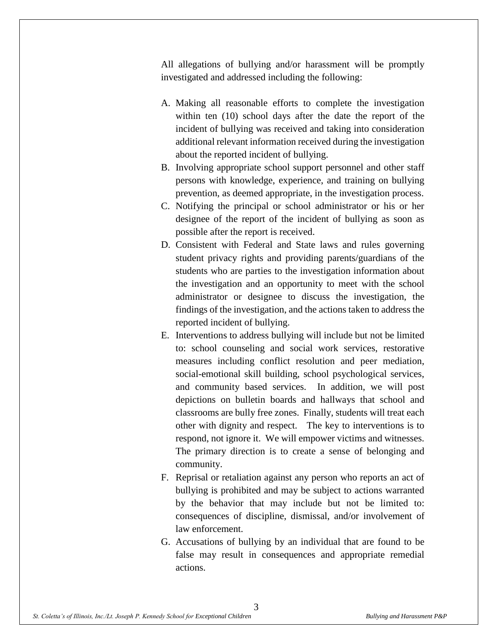All allegations of bullying and/or harassment will be promptly investigated and addressed including the following:

- A. Making all reasonable efforts to complete the investigation within ten (10) school days after the date the report of the incident of bullying was received and taking into consideration additional relevant information received during the investigation about the reported incident of bullying.
- B. Involving appropriate school support personnel and other staff persons with knowledge, experience, and training on bullying prevention, as deemed appropriate, in the investigation process.
- C. Notifying the principal or school administrator or his or her designee of the report of the incident of bullying as soon as possible after the report is received.
- D. Consistent with Federal and State laws and rules governing student privacy rights and providing parents/guardians of the students who are parties to the investigation information about the investigation and an opportunity to meet with the school administrator or designee to discuss the investigation, the findings of the investigation, and the actions taken to address the reported incident of bullying.
- E. Interventions to address bullying will include but not be limited to: school counseling and social work services, restorative measures including conflict resolution and peer mediation, social-emotional skill building, school psychological services, and community based services. In addition, we will post depictions on bulletin boards and hallways that school and classrooms are bully free zones. Finally, students will treat each other with dignity and respect. The key to interventions is to respond, not ignore it. We will empower victims and witnesses. The primary direction is to create a sense of belonging and community.
- F. Reprisal or retaliation against any person who reports an act of bullying is prohibited and may be subject to actions warranted by the behavior that may include but not be limited to: consequences of discipline, dismissal, and/or involvement of law enforcement.
- G. Accusations of bullying by an individual that are found to be false may result in consequences and appropriate remedial actions.

3